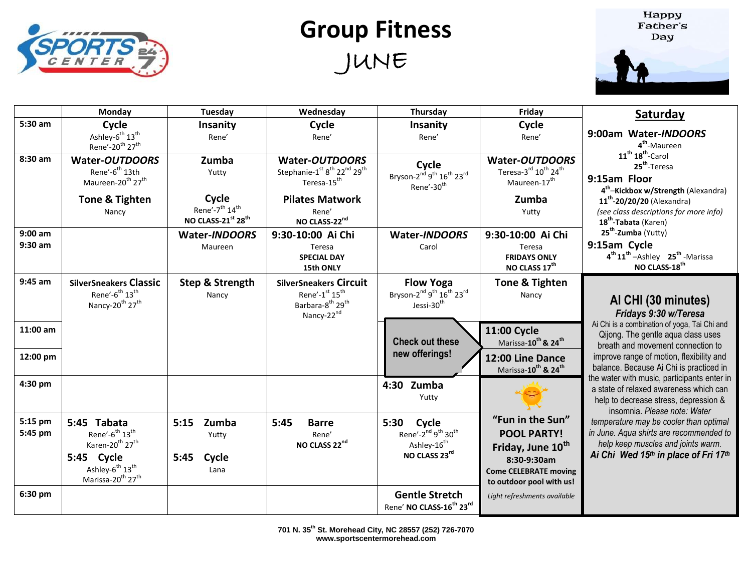

## **Group Fitness** JUNE

Happy Father's Day



|                        | Monday                                                                                                                                                                                                 | Tuesday                                                               | Wednesday                                                                                                                         | Thursday                                                                                                               | Friday                                                                                                                                             | Saturday                                                                                                                                                        |
|------------------------|--------------------------------------------------------------------------------------------------------------------------------------------------------------------------------------------------------|-----------------------------------------------------------------------|-----------------------------------------------------------------------------------------------------------------------------------|------------------------------------------------------------------------------------------------------------------------|----------------------------------------------------------------------------------------------------------------------------------------------------|-----------------------------------------------------------------------------------------------------------------------------------------------------------------|
| 5:30 am                | Cycle<br>Ashley-6 <sup>th</sup> 13 <sup>th</sup><br>Rene'-20 <sup>th</sup> 27 <sup>th</sup>                                                                                                            | Insanity<br>Rene'                                                     | Cycle<br>Rene'                                                                                                                    | Insanity<br>Rene'                                                                                                      | Cycle<br>Rene'                                                                                                                                     | 9:00am Water-INDOORS<br>4 <sup>th</sup> -Maureen                                                                                                                |
| 8:30 am                | <b>Water-OUTDOORS</b><br>Rene'-6 <sup>th</sup> 13th<br>Maureen-20 <sup>th</sup> 27 <sup>th</sup>                                                                                                       | Zumba<br>Yutty                                                        | Water-OUTDOORS<br>Stephanie-1st 8 <sup>th</sup> 22 <sup>nd</sup> 29 <sup>th</sup><br>Teresa-15 <sup>th</sup>                      | Cycle<br>Bryson-2 <sup>nd</sup> 9 <sup>th</sup> 16 <sup>th</sup> 23 <sup>rd</sup><br>Rene'-30 <sup>th</sup>            | <b>Water-OUTDOORS</b><br>Teresa-3rd 10 <sup>th</sup> 24 <sup>th</sup><br>Maureen-17 <sup>th</sup>                                                  | $11^{th}$ $18^{th}$ -Carol<br>25 <sup>th</sup> -Teresa<br>9:15am Floor<br>4 <sup>th</sup> -Kickbox w/Strength (Alexandra)                                       |
|                        | Tone & Tighten<br>Nancy                                                                                                                                                                                | Cycle<br>Rene'-7 <sup>th</sup> 14 <sup>th</sup><br>NO CLASS-21st 28th | <b>Pilates Matwork</b><br>Rene'<br>NO CLASS-22nd                                                                                  |                                                                                                                        | Zumba<br>Yutty                                                                                                                                     | 11 <sup>th</sup> -20/20/20 (Alexandra)<br>(see class descriptions for more info)<br>18 <sup>th</sup> -Tabata (Karen)                                            |
| $9:00$ am<br>$9:30$ am |                                                                                                                                                                                                        | Water-INDOORS<br>Maureen                                              | 9:30-10:00 Ai Chi<br>Teresa<br><b>SPECIAL DAY</b><br>15th ONLY                                                                    | Water-INDOORS<br>Carol                                                                                                 | 9:30-10:00 Ai Chi<br>Teresa<br><b>FRIDAYS ONLY</b><br>NO CLASS 17th                                                                                | 25 <sup>th</sup> -Zumba (Yutty)<br>9:15am Cycle<br>4 <sup>th</sup> 11 <sup>th</sup> - Ashley 25 <sup>th</sup> - Marissa<br>NO CLASS-18 <sup>th</sup>            |
| 9:45 am                | <b>SilverSneakers Classic</b><br>Rene'-6 <sup>th</sup> 13 <sup>th</sup><br>Nancy-20 <sup>th</sup> 27 <sup>th</sup>                                                                                     | <b>Step &amp; Strength</b><br>Nancy                                   | <b>SilverSneakers Circuit</b><br>Rene'-1st 15 <sup>th</sup><br>Barbara-8 <sup>th</sup> 29 <sup>th</sup><br>Nancy-22 <sup>nd</sup> | <b>Flow Yoga</b><br>Bryson-2 <sup>nd</sup> 9 <sup>th</sup> 16 <sup>th</sup> 23 <sup>rd</sup><br>Jessi-30 <sup>th</sup> | Tone & Tighten<br>Nancy                                                                                                                            | AI CHI (30 minutes)<br>Fridays 9:30 w/Teresa                                                                                                                    |
| $11:00$ am             |                                                                                                                                                                                                        |                                                                       |                                                                                                                                   | <b>Check out these</b>                                                                                                 | 11:00 Cycle<br>Marissa-10 <sup>th</sup> & 24 <sup>th</sup>                                                                                         | Ai Chi is a combination of yoga, Tai Chi and<br>Qijong. The gentle aqua class uses<br>breath and movement connection to                                         |
| 12:00 pm               |                                                                                                                                                                                                        |                                                                       |                                                                                                                                   | new offerings!                                                                                                         | 12:00 Line Dance<br>Marissa-10 <sup>th</sup> & 24 <sup>th</sup>                                                                                    | improve range of motion, flexibility and<br>balance. Because Ai Chi is practiced in                                                                             |
| 4:30 pm                |                                                                                                                                                                                                        |                                                                       |                                                                                                                                   | 4:30 Zumba<br>Yutty                                                                                                    |                                                                                                                                                    | the water with music, participants enter in<br>a state of relaxed awareness which can<br>help to decrease stress, depression &<br>insomnia. Please note: Water  |
| 5:15 pm<br>5:45 pm     | 5:45 Tabata<br>Rene'-6 <sup>th</sup> 13 <sup>th</sup><br>Karen-20 <sup>th</sup> 27 <sup>th</sup><br>5:45 Cycle<br>Ashley-6 <sup>th</sup> 13 <sup>th</sup><br>Marissa-20 <sup>th</sup> 27 <sup>th</sup> | 5:15<br>Zumba<br>Yutty<br>5:45<br>Cycle<br>Lana                       | 5:45<br><b>Barre</b><br>Rene'<br>NO CLASS 22nd                                                                                    | 5:30<br>Cycle<br>Rene'-2 <sup>nd</sup> 9 <sup>th</sup> 30 <sup>th</sup><br>Ashley-16 <sup>th</sup><br>NO CLASS 23rd    | "Fun in the Sun"<br><b>POOL PARTY!</b><br>Friday, June 10 <sup>th</sup><br>8:30-9:30am<br><b>Come CELEBRATE moving</b><br>to outdoor pool with us! | temperature may be cooler than optimal<br>in June. Aqua shirts are recommended to<br>help keep muscles and joints warm.<br>Ai Chi Wed 15th in place of Fri 17th |
| 6:30 pm                |                                                                                                                                                                                                        |                                                                       |                                                                                                                                   | <b>Gentle Stretch</b><br>Rene' NO CLASS-16 <sup>th</sup> 23rd                                                          | Light refreshments available                                                                                                                       |                                                                                                                                                                 |